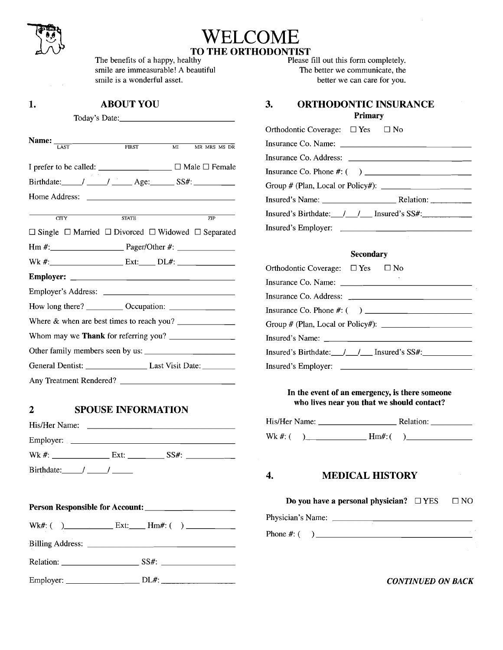

1.

# WELCOME **TO THE ORTHODONTIST**

The benefits of a happy, healthy **Please fill out this form completely**. smile are immeasurable! A beautiful The better we communicate, the smile is a wonderful asset.

better we can care for you.

| Today's Date: 1988. Today's Date:                                                                                                                                                                                                                                                                                                                                                         | <b>Primary</b>                                 |
|-------------------------------------------------------------------------------------------------------------------------------------------------------------------------------------------------------------------------------------------------------------------------------------------------------------------------------------------------------------------------------------------|------------------------------------------------|
|                                                                                                                                                                                                                                                                                                                                                                                           | Orthodontic Coverage: $\Box$ Yes<br>$\Box$ No  |
| Name: $\frac{1}{\sqrt{1-\frac{1}{2}}\sqrt{1-\frac{1}{2}}\left(1-\frac{1}{2}\right)}$<br><b>FIRST</b><br>LAST<br>$\overline{M}$<br>MR MRS MS DR                                                                                                                                                                                                                                            |                                                |
|                                                                                                                                                                                                                                                                                                                                                                                           |                                                |
| I prefer to be called: _______________ □ Male □ Female                                                                                                                                                                                                                                                                                                                                    |                                                |
| Birthdate: / / / Age: SS#:                                                                                                                                                                                                                                                                                                                                                                |                                                |
| Home Address: No. 1996. The Second State of the Second State of the Second State of the Second State of the Second State of the Second State of the Second State of the Second State of the Second State of the Second State o                                                                                                                                                            |                                                |
| <b>STATE</b><br><b>CITY</b><br>ZIP                                                                                                                                                                                                                                                                                                                                                        | Insured's Birthdate: / / / Insured's SS#:      |
| $\Box$ Single $\Box$ Married $\Box$ Divorced $\Box$ Widowed $\Box$ Separated                                                                                                                                                                                                                                                                                                              |                                                |
|                                                                                                                                                                                                                                                                                                                                                                                           |                                                |
|                                                                                                                                                                                                                                                                                                                                                                                           | <b>Secondary</b>                               |
|                                                                                                                                                                                                                                                                                                                                                                                           | Orthodontic Coverage: $\Box$ Yes $\Box$ No     |
|                                                                                                                                                                                                                                                                                                                                                                                           |                                                |
|                                                                                                                                                                                                                                                                                                                                                                                           |                                                |
| Where $\&$ when are best times to reach you? $\frac{1}{\sqrt{1-\frac{1}{\sqrt{1-\frac{1}{\sqrt{1-\frac{1}{\sqrt{1-\frac{1}{\sqrt{1-\frac{1}{\sqrt{1-\frac{1}{\sqrt{1-\frac{1}{\sqrt{1-\frac{1}{\sqrt{1-\frac{1}{\sqrt{1-\frac{1}{\sqrt{1-\frac{1}{\sqrt{1-\frac{1}{\sqrt{1-\frac{1}{\sqrt{1-\frac{1}{\sqrt{1-\frac{1}{\sqrt{1-\frac{1}{\sqrt{1-\frac{1}{\sqrt{1-\frac{1}{\sqrt{1-\frac{1$ | Group # (Plan, Local or Policy#): ____________ |
|                                                                                                                                                                                                                                                                                                                                                                                           |                                                |
|                                                                                                                                                                                                                                                                                                                                                                                           | Insured's Birthdate: / / / Insured's SS#:      |
|                                                                                                                                                                                                                                                                                                                                                                                           |                                                |
|                                                                                                                                                                                                                                                                                                                                                                                           |                                                |

### **2 SPOUSE INFORMATION**

| His/Her Name: |      |      |  |
|---------------|------|------|--|
| Employer:     |      |      |  |
| $Wk \#$ :     | Ext: | SS#: |  |
| Birthdate:    |      |      |  |

**Person Responsible for Account:** 

Wk#:  $( )$  Ext: Hm#:  $( )$ 

Billing Address:

Relation: SS#: SS#:

Employer: DL#:

**ABOUT YOU 3. ORTHODONTIC INSURANCE** 

| Orthodontic Coverage: $\Box$ Yes $\Box$ No                                                     |  |
|------------------------------------------------------------------------------------------------|--|
|                                                                                                |  |
|                                                                                                |  |
|                                                                                                |  |
| Group # (Plan, Local or Policy#): $\_\_\_\_\_\_\_\_\_\_\_\_\_\_\_\_\_\_\_\_\_\_\_\_\_\_\_\_\_$ |  |
|                                                                                                |  |
| Insured's Birthdate: / / / Insured's SS#:                                                      |  |
|                                                                                                |  |

#### **Secondary**

| Orthodontic Coverage: $\Box$ Yes $\Box$ No      |
|-------------------------------------------------|
|                                                 |
|                                                 |
|                                                 |
| Group # (Plan, Local or Policy#): $\frac{1}{2}$ |
|                                                 |
| Insured's Birthdate: / / / Insured's SS#:       |
|                                                 |

#### **In the event of an emergency, is there someone who lives near you that we should contact?**

| His/Her Name: | Relation: |
|---------------|-----------|
| Wk #: (       | $Hm\#:$   |

### **4. MEDICAL HISTORY**

|                   | Do you have a personal physician? $\Box$ YES | $\Box$ NO |
|-------------------|----------------------------------------------|-----------|
| Physician's Name: |                                              |           |
| Phone $#:$ (      |                                              |           |

*CONTINUED ON BACK*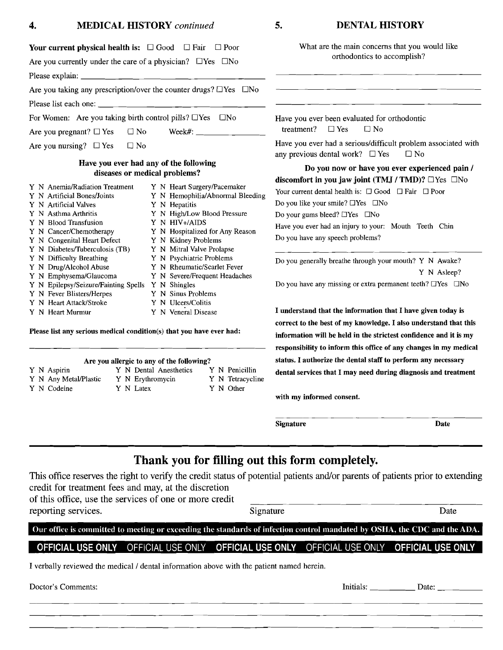#### **4. MEDICAL HISTORY continued 5. DENTAL HISTORY**

**Your current physical health is:**  $\Box$  Good  $\Box$  Fair  $\Box$  Poor

What are the main concerns that you would like orthodontics to accomplish?

| Are you currently under the care of a physician? $\Box$ Yes $\Box$ No                                                                                                                                                                                                                                                                                                                                                               |
|-------------------------------------------------------------------------------------------------------------------------------------------------------------------------------------------------------------------------------------------------------------------------------------------------------------------------------------------------------------------------------------------------------------------------------------|
|                                                                                                                                                                                                                                                                                                                                                                                                                                     |
| Are you taking any prescription/over the counter drugs? $\Box$ Yes $\Box$ No                                                                                                                                                                                                                                                                                                                                                        |
| Please list each one: $\frac{1}{\sqrt{1-\frac{1}{2}} \cdot \frac{1}{\sqrt{1-\frac{1}{2}} \cdot \frac{1}{\sqrt{1-\frac{1}{2}} \cdot \frac{1}{\sqrt{1-\frac{1}{2}} \cdot \frac{1}{\sqrt{1-\frac{1}{2}} \cdot \frac{1}{\sqrt{1-\frac{1}{2}} \cdot \frac{1}{\sqrt{1-\frac{1}{2}} \cdot \frac{1}{\sqrt{1-\frac{1}{2}} \cdot \frac{1}{\sqrt{1-\frac{1}{2}} \cdot \frac{1}{\sqrt{1-\frac{1}{2}} \cdot \frac{1}{\sqrt{1-\frac{1}{2}} \cdot$ |
| For Women: Are you taking birth control pills? $\Box$ Yes $\Box$ No                                                                                                                                                                                                                                                                                                                                                                 |
| Are you pregnant? $\square$ Yes $\square$ No<br>Week#: $\_\_$                                                                                                                                                                                                                                                                                                                                                                       |

Are you nursing?  $\Box$  Yes  $\Box$  No

#### **Have you ever had any of the following diseases or medical problems?**

|  | Y N Anemia/Radiation Treatment       |
|--|--------------------------------------|
|  | Y N Artificial Bones/Joints          |
|  | Y N Artificial Valves                |
|  | Y N Asthma Arthritis                 |
|  | Y N Blood Transfusion                |
|  | Y N Cancer/Chemotherapy              |
|  | Y N Congenital Heart Defect          |
|  | Y N Diabetes/Tuberculosis (TB)       |
|  | Y N Difficulty Breathing             |
|  | Y N Drug/Alcohol Abuse               |
|  | Y N Emphysema/Glaucoma               |
|  | Y N Epilepsy/Seizure/Fainting Spells |
|  | Y N Fever Blisters/Herpes            |
|  | Y N Heart Attack/Stroke              |

Y N Heart Murmur

- Y N Heart Surgery/Pacemaker Y N Hemophilia/Abnormal Bleeding Y N Hepatitis
- Y N High/Low Blood Pressure
- Y N HIV+/AIDS
- Y N Hospitalized for Any Reason
- Y N Kidney Problems
- Y N Mitral Valve Prolapse
- Y N Psychiatric Problems
- Y N Rheumatic/Scarlet Fever
- Y N Severe/Frequent Headaches
- Y N Shingles
- Y N Sinus Problems
- Y N Ulcers/Colitis
- Y N Veneral Disease

#### **Please list any serious medical condition(s) that you have ever had:**

#### **Are you allergic to any of the following?**

- 
- 
- 
- Y N Codeine Y N Latex Y N Other
- Y N Aspirin Y N Dental Anesthetics Y N Penicillin<br>Y N Any Metal/Plastic Y N Erythromycin Y N Tetracycli
- Y N Any Metal/Plastic Y N Erythromycin Y N Tetracycline
	-

Have you ever been evaluated for orthodontic treatment?  $\Box$  Yes  $\Box$  No Have you ever had a serious/difficult problem associated with any previous dental work?  $\Box$  Yes  $\Box$  No **Do you now or have you ever experienced pain** / **discomfort in you jaw joint (TMJ / TMD)?**  $\Box$ Yes  $\Box$ No Your current dental health is:  $\Box$  Good  $\Box$  Fair  $\Box$  Poor Do you like your smile?  $\Box$  Yes  $\Box$  No Do your gums bleed?  $\Box$  Yes  $\Box$  No Have you ever had an injury to your: Mouth Teeth Chin Do you have any speech problems? Do you generally breathe through your mouth? Y N Awake?

Y N Asleep? Do you have any missing or extra permanent teeth?  $\Box$ Yes  $\Box$ No

**I understand that the information that I have given today is correct to the best of my knowledge. I also understand that this information will be held in the strictest confidence and it is my responsibility to inform this office of any changes in my medical status. I authorize the dental staff to perform any necessary dental services that I may need during diagnosis and treatment** 

**with my informed consent.** 

**Signature** Date

## **Thank you for filling out this form completely.**

| This office reserves the right to verify the credit status of potential patients and/or parents of patients prior to extending |           |      |
|--------------------------------------------------------------------------------------------------------------------------------|-----------|------|
| credit for treatment fees and may, at the discretion                                                                           |           |      |
| of this office, use the services of one or more credit                                                                         |           |      |
| reporting services.                                                                                                            | Signature | Date |

Our office is committed to meeting or exceeding the standards of infection control mandated by OSHA, the CDC and the ADA.

#### OFFICIAL USE ONLY OFFICIAL USE ONLY OFFICIAL USE ONLY OFFICIAL USE ONLY **OFFICIAL USE ONLY**

I verbally reviewed the medical / dental information above with the patient named herein.

Doctor's Comments: Date: Date: Date: Date: Date: Date: Date: Date: Date: Date: Date: Date: Date: Date: Date: Date: Date: Date: Date: Date: Date: Date: Date: Date: Date: Date: Date: Date: Date: Date: Date: Date: Date: Date: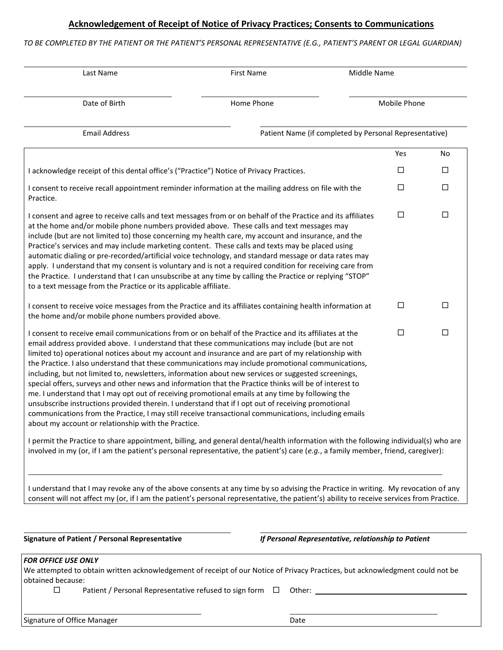### **Acknowledgement of Receipt of Notice of Privacy Practices; Consents to Communications**

### *TO BE COMPLETED BY THE PATIENT OR THE PATIENT'S PERSONAL REPRESENTATIVE (E.G., PATIENT'S PARENT OR LEGAL GUARDIAN)*

| Last Name                                                                                                                                                                                                                                                                                                                                                                                                                                                                                                                                                                                                                                                                                                                                                                                                                                                                                                                                                                                                    | <b>First Name</b>                                   | Middle Name |              |        |
|--------------------------------------------------------------------------------------------------------------------------------------------------------------------------------------------------------------------------------------------------------------------------------------------------------------------------------------------------------------------------------------------------------------------------------------------------------------------------------------------------------------------------------------------------------------------------------------------------------------------------------------------------------------------------------------------------------------------------------------------------------------------------------------------------------------------------------------------------------------------------------------------------------------------------------------------------------------------------------------------------------------|-----------------------------------------------------|-------------|--------------|--------|
| Date of Birth                                                                                                                                                                                                                                                                                                                                                                                                                                                                                                                                                                                                                                                                                                                                                                                                                                                                                                                                                                                                | Home Phone                                          |             | Mobile Phone |        |
| <b>Email Address</b><br>Patient Name (if completed by Personal Representative)                                                                                                                                                                                                                                                                                                                                                                                                                                                                                                                                                                                                                                                                                                                                                                                                                                                                                                                               |                                                     |             |              |        |
|                                                                                                                                                                                                                                                                                                                                                                                                                                                                                                                                                                                                                                                                                                                                                                                                                                                                                                                                                                                                              |                                                     |             | Yes          | No     |
| I acknowledge receipt of this dental office's ("Practice") Notice of Privacy Practices.                                                                                                                                                                                                                                                                                                                                                                                                                                                                                                                                                                                                                                                                                                                                                                                                                                                                                                                      |                                                     |             | □            | □      |
| I consent to receive recall appointment reminder information at the mailing address on file with the<br>Practice.                                                                                                                                                                                                                                                                                                                                                                                                                                                                                                                                                                                                                                                                                                                                                                                                                                                                                            |                                                     |             | □            | □      |
| I consent and agree to receive calls and text messages from or on behalf of the Practice and its affiliates<br>at the home and/or mobile phone numbers provided above. These calls and text messages may<br>include (but are not limited to) those concerning my health care, my account and insurance, and the<br>Practice's services and may include marketing content. These calls and texts may be placed using<br>automatic dialing or pre-recorded/artificial voice technology, and standard message or data rates may<br>apply. I understand that my consent is voluntary and is not a required condition for receiving care from<br>the Practice. I understand that I can unsubscribe at any time by calling the Practice or replying "STOP"<br>to a text message from the Practice or its applicable affiliate.                                                                                                                                                                                     |                                                     |             | □            | $\Box$ |
| I consent to receive voice messages from the Practice and its affiliates containing health information at<br>the home and/or mobile phone numbers provided above.                                                                                                                                                                                                                                                                                                                                                                                                                                                                                                                                                                                                                                                                                                                                                                                                                                            |                                                     |             | $\Box$       | □      |
| I consent to receive email communications from or on behalf of the Practice and its affiliates at the<br>email address provided above. I understand that these communications may include (but are not<br>limited to) operational notices about my account and insurance and are part of my relationship with<br>the Practice. I also understand that these communications may include promotional communications,<br>including, but not limited to, newsletters, information about new services or suggested screenings,<br>special offers, surveys and other news and information that the Practice thinks will be of interest to<br>me. I understand that I may opt out of receiving promotional emails at any time by following the<br>unsubscribe instructions provided therein. I understand that if I opt out of receiving promotional<br>communications from the Practice, I may still receive transactional communications, including emails<br>about my account or relationship with the Practice. |                                                     |             | □            | □      |
| I permit the Practice to share appointment, billing, and general dental/health information with the following individual(s) who are<br>involved in my (or, if I am the patient's personal representative, the patient's) care (e.g., a family member, friend, caregiver):                                                                                                                                                                                                                                                                                                                                                                                                                                                                                                                                                                                                                                                                                                                                    |                                                     |             |              |        |
| I understand that I may revoke any of the above consents at any time by so advising the Practice in writing. My revocation of any<br>consent will not affect my (or, if I am the patient's personal representative, the patient's) ability to receive services from Practice.                                                                                                                                                                                                                                                                                                                                                                                                                                                                                                                                                                                                                                                                                                                                |                                                     |             |              |        |
| <b>Signature of Patient / Personal Representative</b>                                                                                                                                                                                                                                                                                                                                                                                                                                                                                                                                                                                                                                                                                                                                                                                                                                                                                                                                                        | If Personal Representative, relationship to Patient |             |              |        |
| <b>FOR OFFICE USE ONLY</b><br>We attempted to obtain written acknowledgement of receipt of our Notice of Privacy Practices, but acknowledgment could not be<br>obtained because:<br>□<br>Patient / Personal Representative refused to sign form $\Box$                                                                                                                                                                                                                                                                                                                                                                                                                                                                                                                                                                                                                                                                                                                                                       | Other: $\_\_$                                       |             |              |        |

Signature of Office Manager **Date** Date Date